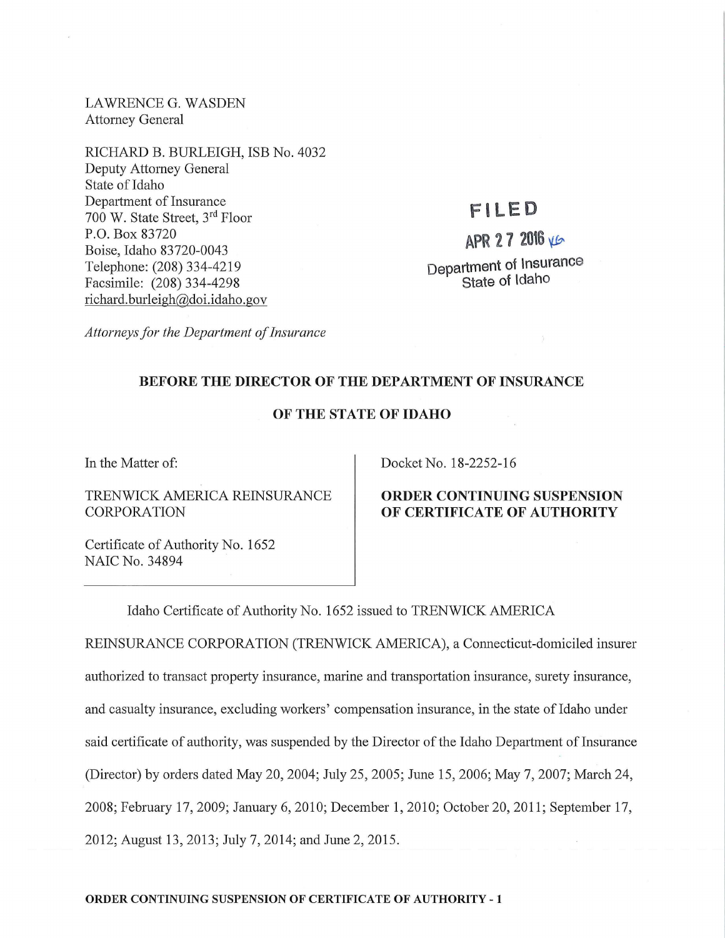LAWRENCEG. WASDEN Attorney General

RICHARD B. BURLEIGH, ISB No. 4032 Deputy Attorney General State of Idaho Department of Insurance 700 W. State Street, 3rd Floor P.O. Box 83720 Boise, Idaho 83720-0043 Telephone: (208) 334-4219 Facsimile: (208) 334-4298 richard. burleigh@doi.idaho.gov

## **F l LED**

# $APR$  27 2016  $VE$ Department of Insurance State of Idaho

*Attorneys for the Department of Insurance* 

### BEFORE THE DIRECTOR OF THE DEPARTMENT OF INSURANCE

#### OF THE STATE OF IDAHO

In the Matter of:

TRENWICK AMERICA REINSURANCE CORPORATION

Certificate of Authority No. 1652 NAIC No. 34894

Docket No. 18-2252-16

#### ORDER CONTINUING SUSPENSION OF CERTIFICATE OF AUTHORITY

Idaho Certificate of Authority No. 1652 issued to TRENWICK AMERICA

REINSURANCE CORPORATION (TRENWICK AMERICA), a Connecticut-domiciled insurer authorized to transact property insurance, marine and transportation insurance, surety insurance, and casualty insurance, excluding workers' compensation insurance, in the state of Idaho under said certificate of authority, was suspended by the Director of the Idaho Department of Insurance (Director) by orders dated May 20, 2004; July 25, 2005; June 15, 2006; May 7, 2007; March 24, 2008; February 17, 2009; January 6, 2010; December 1, 2010; October 20, 2011; September 17, 2012; August 13, 2013; July 7, 2014; and June 2, 2015.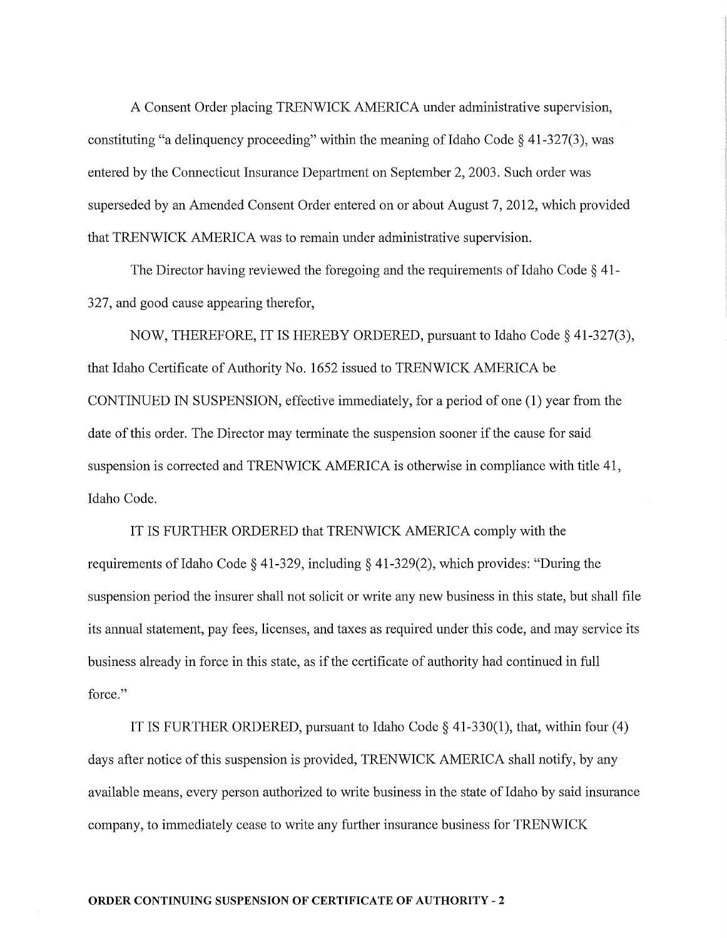A Consent Order placing TRENWICK AMERICA under administrative supervision, constituting "a delinquency proceeding" within the meaning of Idaho Code  $\S$  41-327(3), was entered by the Connecticut Insurance Department on September 2, 2003. Such order was superseded by an Amended Consent Order entered on or about August 7, 2012, which provided that TRENWICK AMERICA was to remain under administrative supervision.

The Director having reviewed the foregoing and the requirements of Idaho Code  $\S$  41-327, and good cause appearing therefor,

NOW, THEREFORE, IT IS HEREBY ORDERED, pursuant to Idaho Code§ 41-327(3), that Idaho Certificate of Authority No. 1652 issued to TRENWICK AMERICA be CONTINUED IN SUSPENSION, effective immediately, for a period of one (1) year from the date of this order. The Director may terminate the suspension sooner if the cause for said suspension is corrected and TRENWICK AMERICA is otherwise in compliance with title 41, Idaho Code.

IT IS FURTHER ORDERED that TRENWICK AMERICA comply with the requirements of Idaho Code § 41-329, including § 41-329(2), which provides: "During the suspension period the insurer shall not solicit or write any new business in this state, but shall file its annual statement, pay fees, licenses, and taxes as required under this code, and may service its business already in force in this state, as if the certificate of authority had continued in full force."

IT IS FURTHER ORDERED, pursuant to Idaho Code§ 41-330(1), that, within four (4) days after notice of this suspension is provided, TRENWICK AMERICA shall notify, by any available means, every person authorized to write business in the state of Idaho by said insurance company, to immediately cease to write any further insurance business for TRENWICK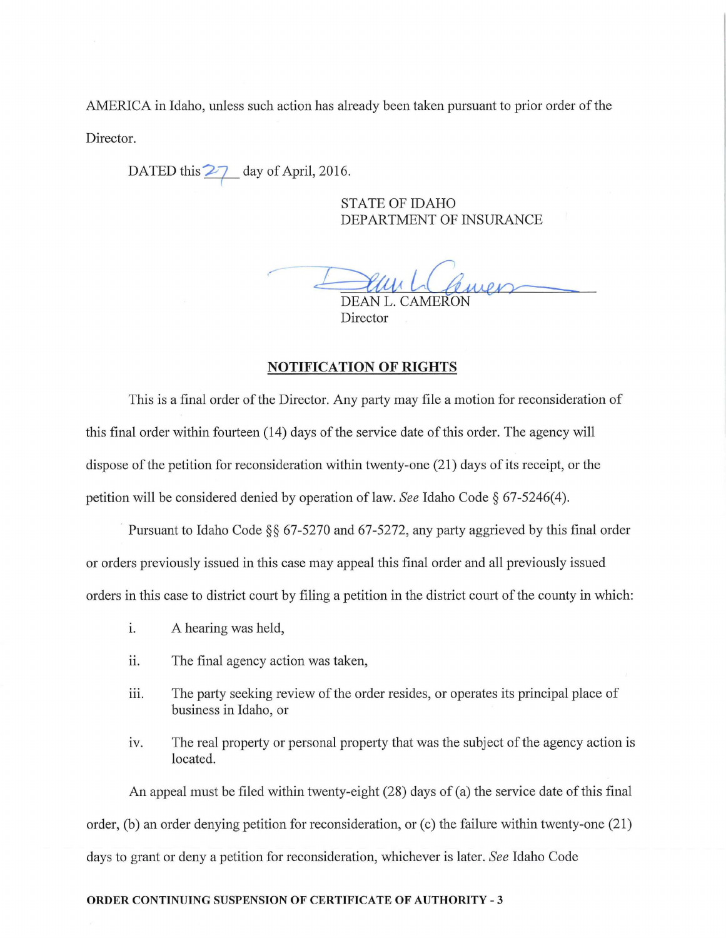AMERICA in Idaho, unless such action has already been taken pursuant to prior order of the Director.

DATED this  $\frac{27}{4}$  day of April, 2016.

STATE OF IDAHO DEPARTMENT OF INSURANCE

DEAN L. CAMERON

Director

#### NOTIFICATION OF RIGHTS

This is a final order of the Director. Any party may file a motion for reconsideration of this final order within fourteen (14) days of the service date of this order. The agency will dispose of the petition for reconsideration within twenty-one (21) days of its receipt, or the petition will be considered denied by operation of law. *See* Idaho Code§ 67-5246(4).

Pursuant to Idaho Code §§ 67-5270 and 67-5272, any party aggrieved by this final order or orders previously issued in this case may appeal this final order and all previously issued orders in this case to district court by filing a petition in the district comt of the county in which:

- i. A hearing was held,
- ii. The final agency action was taken,
- iii. The party seeking review of the order resides, or operates its principal place of business in Idaho, or
- iv. The real property or personal property that was the subject of the agency action is located.

An appeal must be filed within twenty-eight (28) days of (a) the service date of this final order, (b) an order denying petition for reconsideration, or (c) the failure within twenty-one (21) days to grant or deny a petition for reconsideration, whichever is later. *See* Idaho Code

#### ORDER CONTINUING SUSPENSION OF CERTIFICATE OF AUTHORITY - 3